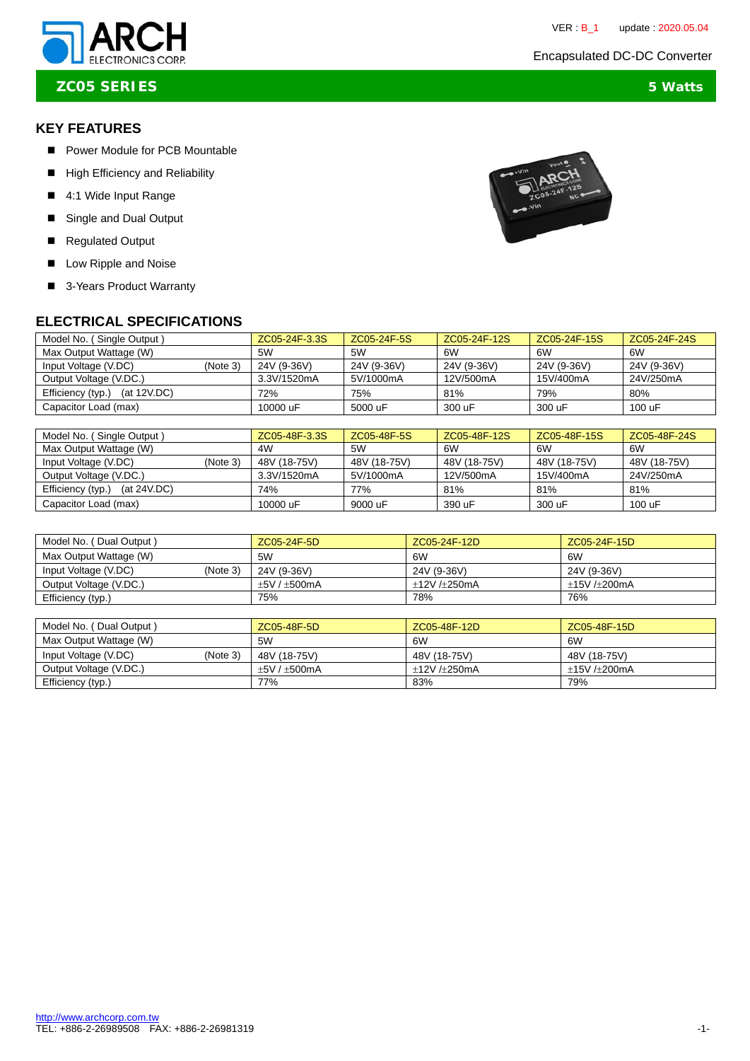# ELECTRONICS CORP. **ELECTRONICS** CORP.



**ZC05 SERIES 5 Watts**

# **KEY FEATURES**

- Power Module for PCB Mountable
- **High Efficiency and Reliability**
- 4:1 Wide Input Range
- Single and Dual Output
- Regulated Output
- **Low Ripple and Noise**
- 3-Years Product Warranty

## **ELECTRICAL SPECIFICATIONS**

| Model No. (Single Output)           |          | ZC05-24F-3.3S | ZC05-24F-5S | ZC05-24F-12S | ZC05-24F-15S | ZC05-24F-24S |
|-------------------------------------|----------|---------------|-------------|--------------|--------------|--------------|
| Max Output Wattage (W)              |          | 5W            | 5W          | 6W           | 6W           | 6W           |
| Input Voltage (V.DC)                | (Note 3) | 24V (9-36V)   | 24V (9-36V) | 24V (9-36V)  | 24V (9-36V)  | 24V (9-36V)  |
| Output Voltage (V.DC.)              |          | 3.3V/1520mA   | 5V/1000mA   | 12V/500mA    | 15V/400mA    | 24V/250mA    |
| (at $12V$ .DC)<br>Efficiency (typ.) |          | 72%           | 75%         | 81%          | 79%          | 80%          |
| Capacitor Load (max)                |          | 10000 uF      | 5000 uF     | 300 uF       | 300 uF       | 100 uF       |

| Model No. (Single Output)        |          | ZC05-48F-3.3S | ZC05-48F-5S  | ZC05-48F-12S | ZC05-48F-15S | ZC05-48F-24S |
|----------------------------------|----------|---------------|--------------|--------------|--------------|--------------|
| Max Output Wattage (W)           |          | 4W            | 5W           | 6W           | 6W           | 6W           |
| Input Voltage (V.DC)             | (Note 3) | 48V (18-75V)  | 48V (18-75V) | 48V (18-75V) | 48V (18-75V) | 48V (18-75V) |
| Output Voltage (V.DC.)           |          | 3.3V/1520mA   | 5V/1000mA    | 12V/500mA    | 15V/400mA    | 24V/250mA    |
| Efficiency (typ.)<br>(at 24V.DC) |          | 74%           | 77%          | 81%          | 81%          | 81%          |
| Capacitor Load (max)             |          | 10000 uF      | 9000 uF      | 390 uF       | 300 uF       | 100 uF       |

| Model No. (Dual Output) |          | ZC05-24F-5D  | ZC05-24F-12D  | ZC05-24F-15D  |
|-------------------------|----------|--------------|---------------|---------------|
| Max Output Wattage (W)  |          | 5W           | 6W            | 6W            |
| Input Voltage (V.DC)    | (Note 3) | 24V (9-36V)  | 24V (9-36V)   | 24V (9-36V)   |
| Output Voltage (V.DC.)  |          | $+5V/+500mA$ | $+12V/+250mA$ | $+15V/+200mA$ |
| Efficiency (typ.)       |          | 75%          | 78%           | 76%           |

| Model No. (<br>(Dual Output)     | ZC05-48F-5D  | ZC05-48F-12D  | ZC05-48F-15D  |
|----------------------------------|--------------|---------------|---------------|
| Max Output Wattage (W)           | 5W           | 6W            | 6W            |
| (Note 3)<br>Input Voltage (V.DC) | 48V (18-75V) | 48V (18-75V)  | 48V (18-75V)  |
| Output Voltage (V.DC.)           | $+5V/+500mA$ | $+12V/+250mA$ | $+15V/+200mA$ |
| Efficiency (typ.)                | 77%          | 83%           | 79%           |

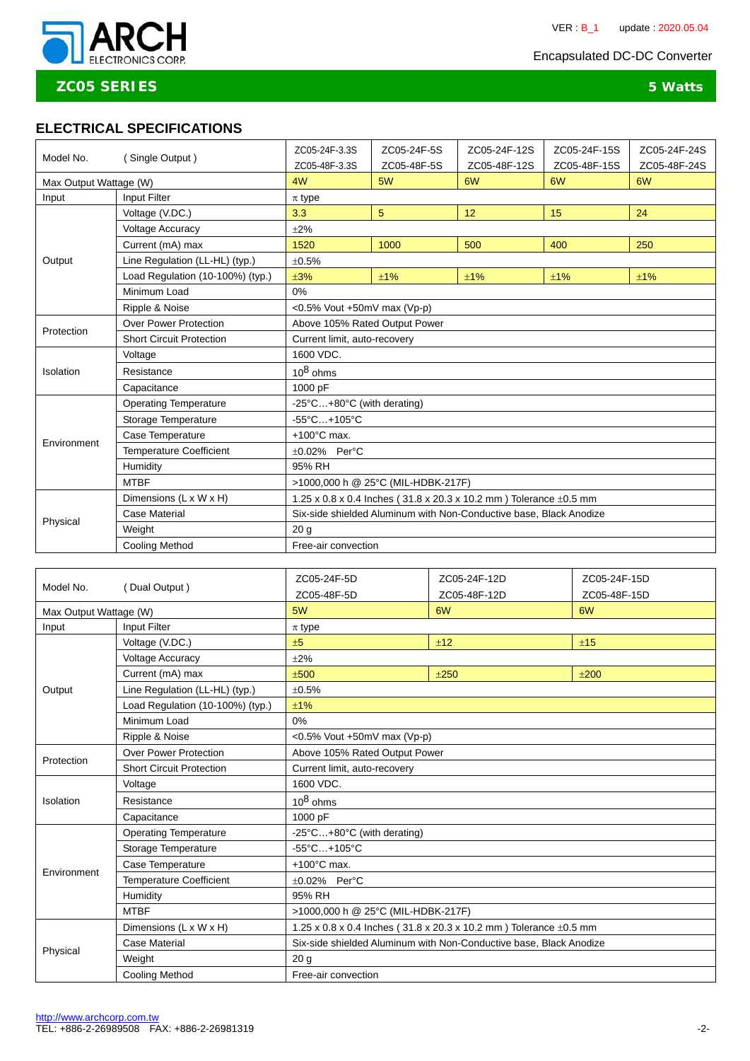

# **ZC05 SERIES 5 Watts**

## **ELECTRICAL SPECIFICATIONS**

| (Single Output)<br>Model No. |                                  | ZC05-24F-3.3S<br>ZC05-48F-3.3S                                     | ZC05-24F-5S<br>ZC05-48F-5S | ZC05-24F-12S<br>ZC05-48F-12S | ZC05-24F-15S<br>ZC05-48F-15S | ZC05-24F-24S<br>ZC05-48F-24S |  |
|------------------------------|----------------------------------|--------------------------------------------------------------------|----------------------------|------------------------------|------------------------------|------------------------------|--|
| Max Output Wattage (W)       |                                  | 4W                                                                 | 5W                         | 6W                           | 6W                           | 6W                           |  |
| Input                        | Input Filter                     | $\pi$ type                                                         |                            |                              |                              |                              |  |
|                              | Voltage (V.DC.)                  | 3.3                                                                | 5                          | 12                           | 15                           | 24                           |  |
|                              | Voltage Accuracy                 | $\pm 2\%$                                                          |                            |                              |                              |                              |  |
|                              | Current (mA) max                 | 1520                                                               | 1000                       | 500                          | 400                          | 250                          |  |
| Output                       | Line Regulation (LL-HL) (typ.)   | ±0.5%                                                              |                            |                              |                              |                              |  |
|                              | Load Regulation (10-100%) (typ.) | ±3%                                                                | ±1%                        | ±1%                          | ±1%                          | ±1%                          |  |
|                              | Minimum Load                     | 0%                                                                 |                            |                              |                              |                              |  |
|                              | Ripple & Noise                   | < $0.5\%$ Vout +50mV max (Vp-p)                                    |                            |                              |                              |                              |  |
| <b>Over Power Protection</b> |                                  | Above 105% Rated Output Power                                      |                            |                              |                              |                              |  |
| Protection                   | <b>Short Circuit Protection</b>  | Current limit, auto-recovery                                       |                            |                              |                              |                              |  |
|                              | Voltage                          | 1600 VDC.                                                          |                            |                              |                              |                              |  |
| Isolation                    | Resistance                       | $10^8$ ohms                                                        |                            |                              |                              |                              |  |
|                              | Capacitance                      | 1000 pF                                                            |                            |                              |                              |                              |  |
| <b>Operating Temperature</b> |                                  | -25°C+80°C (with derating)                                         |                            |                              |                              |                              |  |
|                              | Storage Temperature              | $-55^{\circ}$ C +105°C                                             |                            |                              |                              |                              |  |
| Environment                  | Case Temperature                 | $+100^{\circ}$ C max.                                              |                            |                              |                              |                              |  |
|                              | Temperature Coefficient          | $\pm 0.02\%$ Per°C                                                 |                            |                              |                              |                              |  |
|                              | Humidity                         | 95% RH                                                             |                            |                              |                              |                              |  |
| <b>MTBF</b>                  |                                  | >1000,000 h @ 25°C (MIL-HDBK-217F)                                 |                            |                              |                              |                              |  |
|                              | Dimensions (L x W x H)           | 1.25 x 0.8 x 0.4 Inches (31.8 x 20.3 x 10.2 mm) Tolerance ±0.5 mm  |                            |                              |                              |                              |  |
| Physical                     | <b>Case Material</b>             | Six-side shielded Aluminum with Non-Conductive base, Black Anodize |                            |                              |                              |                              |  |
|                              | Weight                           | 20 <sub>q</sub>                                                    |                            |                              |                              |                              |  |
| <b>Cooling Method</b>        |                                  | Free-air convection                                                |                            |                              |                              |                              |  |

|                              |                                  | ZC05-24F-5D                                                            | ZC05-24F-12D | ZC05-24F-15D |  |  |
|------------------------------|----------------------------------|------------------------------------------------------------------------|--------------|--------------|--|--|
| Model No.<br>(Dual Output)   |                                  | ZC05-48F-5D                                                            | ZC05-48F-12D | ZC05-48F-15D |  |  |
| Max Output Wattage (W)       |                                  | 5W                                                                     | 6W           | 6W           |  |  |
| Input                        | Input Filter                     | $\pi$ type                                                             |              |              |  |  |
|                              | Voltage (V.DC.)                  | ±5<br>±12<br>±15                                                       |              |              |  |  |
|                              | <b>Voltage Accuracy</b>          | ±2%                                                                    |              |              |  |  |
|                              | Current (mA) max                 | ±500                                                                   | ±250         | ±200         |  |  |
| Output                       | Line Regulation (LL-HL) (typ.)   | ±0.5%                                                                  |              |              |  |  |
|                              | Load Regulation (10-100%) (typ.) | ±1%                                                                    |              |              |  |  |
|                              | Minimum Load                     | 0%                                                                     |              |              |  |  |
|                              | Ripple & Noise                   | $<$ 0.5% Vout +50mV max (Vp-p)                                         |              |              |  |  |
| Protection                   | <b>Over Power Protection</b>     | Above 105% Rated Output Power                                          |              |              |  |  |
|                              | <b>Short Circuit Protection</b>  | Current limit, auto-recovery                                           |              |              |  |  |
|                              | Voltage                          | 1600 VDC.                                                              |              |              |  |  |
| Isolation                    | Resistance                       | $10^8$ ohms                                                            |              |              |  |  |
|                              | Capacitance                      | 1000 pF                                                                |              |              |  |  |
| <b>Operating Temperature</b> |                                  | -25°C+80°C (with derating)                                             |              |              |  |  |
|                              | Storage Temperature              | $-55^{\circ}$ C+105°C                                                  |              |              |  |  |
| Environment                  | Case Temperature                 | $+100^{\circ}$ C max.                                                  |              |              |  |  |
|                              | <b>Temperature Coefficient</b>   | $\pm 0.02\%$ Per°C                                                     |              |              |  |  |
|                              | Humidity                         | 95% RH                                                                 |              |              |  |  |
|                              | <b>MTBF</b>                      | >1000,000 h @ 25°C (MIL-HDBK-217F)                                     |              |              |  |  |
|                              | Dimensions (L x W x H)           | 1.25 x 0.8 x 0.4 lnches (31.8 x 20.3 x 10.2 mm) Tolerance $\pm$ 0.5 mm |              |              |  |  |
|                              | Case Material                    | Six-side shielded Aluminum with Non-Conductive base, Black Anodize     |              |              |  |  |
| Physical                     | Weight                           | 20 <sub>g</sub>                                                        |              |              |  |  |
|                              | <b>Cooling Method</b>            | Free-air convection                                                    |              |              |  |  |